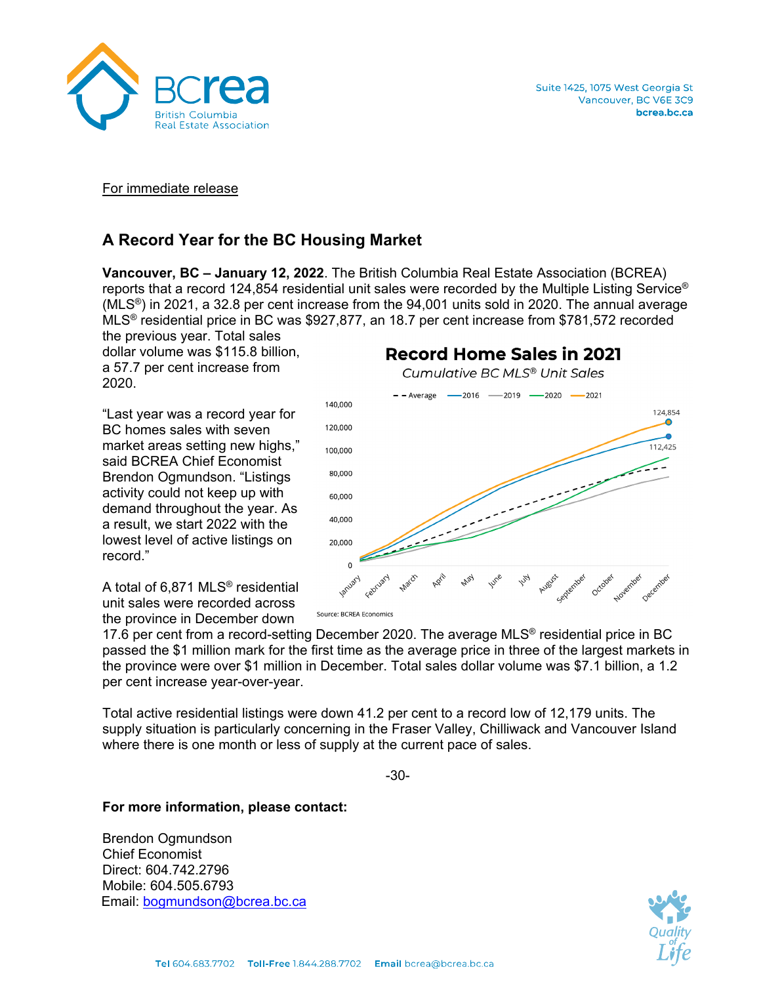

For immediate release

# **A Record Year for the BC Housing Market**

**Vancouver, BC – January 12, 2022**. The British Columbia Real Estate Association (BCREA) reports that a record 124,854 residential unit sales were recorded by the Multiple Listing Service®  $(MLS<sup>®</sup>)$  in 2021, a 32.8 per cent increase from the 94,001 units sold in 2020. The annual average MLS® residential price in BC was \$927,877, an 18.7 per cent increase from \$781,572 recorded

the previous year. Total sales dollar volume was \$115.8 billion, a 57.7 per cent increase from 2020.

"Last year was a record year for BC homes sales with seven market areas setting new highs," said BCREA Chief Economist Brendon Ogmundson. "Listings activity could not keep up with demand throughout the year. As a result, we start 2022 with the lowest level of active listings on record."

A total of 6,871 MLS® residential unit sales were recorded across the province in December down

Cumulative BC MLS® Unit Sales  $-$  - Average  $-$  2016  $-$  2019  $-$  2020  $-$  2021 140,000 124,854 A 120,000 112,425 100,000 80,000 60,000 40.000 20,000  $\Omega$ December September November october

**Record Home Sales in 2021** 

Source: BCREA Economics

17.6 per cent from a record-setting December 2020. The average MLS<sup>®</sup> residential price in BC passed the \$1 million mark for the first time as the average price in three of the largest markets in the province were over \$1 million in December. Total sales dollar volume was \$7.1 billion, a 1.2 per cent increase year-over-year.

Total active residential listings were down 41.2 per cent to a record low of 12,179 units. The supply situation is particularly concerning in the Fraser Valley, Chilliwack and Vancouver Island where there is one month or less of supply at the current pace of sales.

-30-

### **For more information, please contact:**

Brendon Ogmundson Chief Economist Direct: 604.742.2796 Mobile: 604.505.6793 Email: [bogmundson@bcrea.bc.ca](mailto:bogmundson@bcrea.bc.ca)

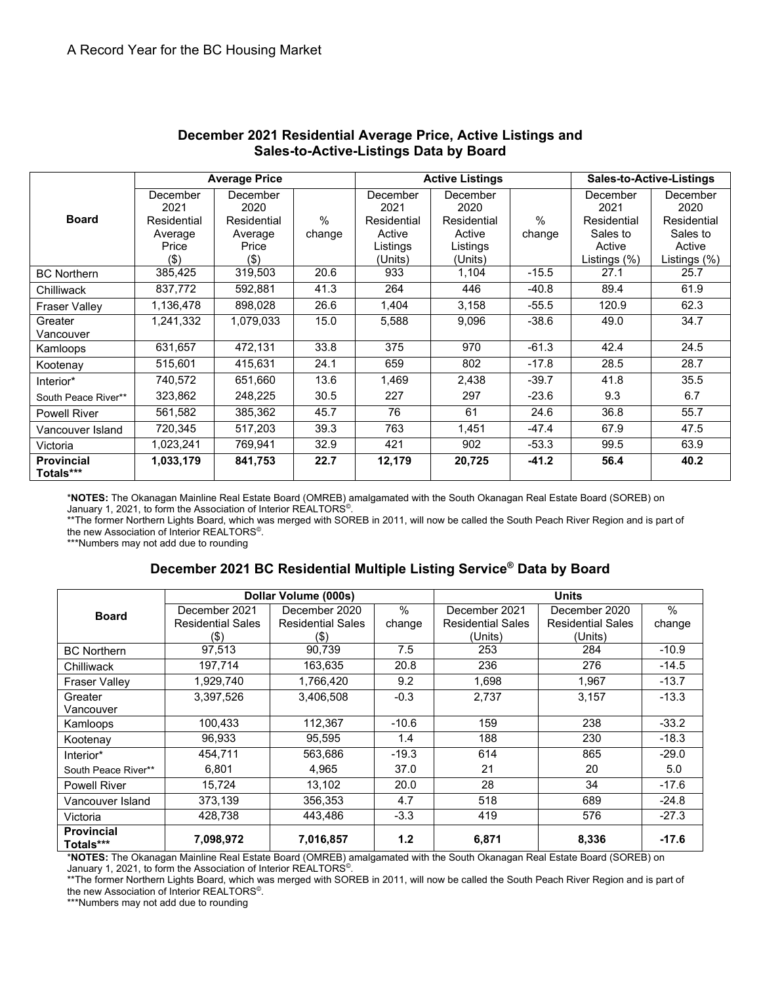| <b>Board</b>                   | <b>Average Price</b>                                           |                                                               |                         |                                                                  | <b>Active Listings</b>                                           | <b>Sales-to-Active-Listings</b> |                                                                       |                                                                       |
|--------------------------------|----------------------------------------------------------------|---------------------------------------------------------------|-------------------------|------------------------------------------------------------------|------------------------------------------------------------------|---------------------------------|-----------------------------------------------------------------------|-----------------------------------------------------------------------|
|                                | December<br>2021<br>Residential<br>Average<br>Price<br>$($ \$) | December<br>2020<br>Residential<br>Average<br>Price<br>$($ \$ | $\frac{0}{0}$<br>change | December<br>2021<br>Residential<br>Active<br>Listings<br>(Units) | December<br>2020<br>Residential<br>Active<br>Listings<br>(Units) | $\%$<br>change                  | December<br>2021<br>Residential<br>Sales to<br>Active<br>Listings (%) | December<br>2020<br>Residential<br>Sales to<br>Active<br>Listings (%) |
| <b>BC Northern</b>             | 385,425                                                        | 319,503                                                       | 20.6                    | 933                                                              | 1,104                                                            | $-15.5$                         | 27.1                                                                  | 25.7                                                                  |
| Chilliwack                     | 837,772                                                        | 592,881                                                       | 41.3                    | 264                                                              | 446                                                              | $-40.8$                         | 89.4                                                                  | 61.9                                                                  |
| <b>Fraser Valley</b>           | 1,136,478                                                      | 898,028                                                       | 26.6                    | 1,404                                                            | 3,158                                                            | $-55.5$                         | 120.9                                                                 | 62.3                                                                  |
| Greater<br>Vancouver           | 1,241,332                                                      | 1,079,033                                                     | 15.0                    | 5,588                                                            | 9,096                                                            | $-38.6$                         | 49.0                                                                  | 34.7                                                                  |
| Kamloops                       | 631,657                                                        | 472,131                                                       | 33.8                    | 375                                                              | 970                                                              | $-61.3$                         | 42.4                                                                  | 24.5                                                                  |
| Kootenay                       | 515,601                                                        | 415,631                                                       | 24.1                    | 659                                                              | 802                                                              | $-17.8$                         | 28.5                                                                  | 28.7                                                                  |
| Interior*                      | 740,572                                                        | 651,660                                                       | 13.6                    | 1,469                                                            | 2,438                                                            | $-39.7$                         | 41.8                                                                  | 35.5                                                                  |
| South Peace River**            | 323,862                                                        | 248,225                                                       | 30.5                    | 227                                                              | 297                                                              | $-23.6$                         | 9.3                                                                   | 6.7                                                                   |
| <b>Powell River</b>            | 561,582                                                        | 385,362                                                       | 45.7                    | 76                                                               | 61                                                               | 24.6                            | 36.8                                                                  | 55.7                                                                  |
| Vancouver Island               | 720,345                                                        | 517,203                                                       | 39.3                    | 763                                                              | 1,451                                                            | $-47.4$                         | 67.9                                                                  | 47.5                                                                  |
| Victoria                       | 1,023,241                                                      | 769,941                                                       | 32.9                    | 421                                                              | 902                                                              | $-53.3$                         | 99.5                                                                  | 63.9                                                                  |
| <b>Provincial</b><br>Totals*** | 1,033,179                                                      | 841,753                                                       | 22.7                    | 12,179                                                           | 20,725                                                           | $-41.2$                         | 56.4                                                                  | 40.2                                                                  |

#### **December 2021 Residential Average Price, Active Listings and Sales-to-Active-Listings Data by Board**

\***NOTES:** The Okanagan Mainline Real Estate Board (OMREB) amalgamated with the South Okanagan Real Estate Board (SOREB) on January 1, 2021, to form the Association of Interior  $\mathsf{REALTORS}^\circ$ .

\*\*The former Northern Lights Board, which was merged with SOREB in 2011, will now be called the South Peach River Region and is part of the new Association of Interior REALTORS©.

\*\*\*Numbers may not add due to rounding

## **December 2021 BC Residential Multiple Listing Service® Data by Board**

| <b>Board</b>                   |                          | Dollar Volume (000s)     |         | <b>Units</b>             |                          |         |  |
|--------------------------------|--------------------------|--------------------------|---------|--------------------------|--------------------------|---------|--|
|                                | December 2021            | December 2020            | $\%$    | December 2021            | December 2020            | $\%$    |  |
|                                | <b>Residential Sales</b> | <b>Residential Sales</b> | change  | <b>Residential Sales</b> | <b>Residential Sales</b> | change  |  |
|                                | (\$)                     | (S)                      |         | (Units)                  | (Units)                  |         |  |
| <b>BC Northern</b>             | 97,513                   | 90.739                   | 7.5     | 253                      | 284                      | $-10.9$ |  |
| Chilliwack                     | 197,714                  | 163,635                  | 20.8    | 236                      | 276                      | $-14.5$ |  |
| <b>Fraser Valley</b>           | 1,929,740                | 1,766,420                | 9.2     | 1,698                    | 1,967                    | $-13.7$ |  |
| Greater                        | 3,397,526                | 3,406,508                | $-0.3$  | 2.737                    | 3,157                    | $-13.3$ |  |
| Vancouver                      |                          |                          |         |                          |                          |         |  |
| Kamloops                       | 100,433                  | 112,367                  | $-10.6$ | 159                      | 238                      | $-33.2$ |  |
| Kootenay                       | 96,933                   | 95,595                   | 1.4     | 188                      | 230                      | $-18.3$ |  |
| Interior*                      | 454,711                  | 563,686                  | $-19.3$ | 614                      | 865                      | $-29.0$ |  |
| South Peace River**            | 6,801                    | 4,965                    | 37.0    | 21                       | 20                       | 5.0     |  |
| <b>Powell River</b>            | 15,724                   | 13.102                   | 20.0    | 28                       | 34                       | $-17.6$ |  |
| Vancouver Island               | 373,139                  | 356.353                  | 4.7     | 518                      | 689                      | $-24.8$ |  |
| Victoria                       | 428,738                  | 443,486                  | $-3.3$  | 419                      | 576                      | $-27.3$ |  |
| <b>Provincial</b><br>Totals*** | 7,098,972                | 7,016,857                | 1.2     | 6,871                    | 8,336                    | $-17.6$ |  |

\***NOTES:** The Okanagan Mainline Real Estate Board (OMREB) amalgamated with the South Okanagan Real Estate Board (SOREB) on January 1, 2021, to form the Association of Interior REALTORS<sup>®</sup>.

\*\*The former Northern Lights Board, which was merged with SOREB in 2011, will now be called the South Peach River Region and is part of the new Association of Interior REALTORS<sup>®</sup>.

\*\*\*Numbers may not add due to rounding